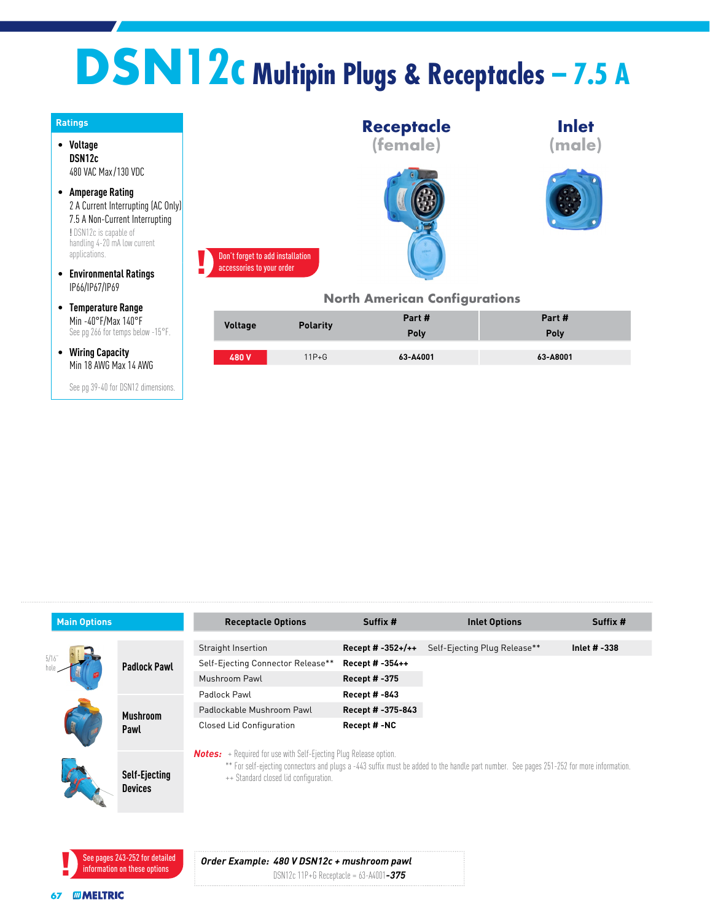## **DSN12c Multipin Plugs & Receptacles – 7.5 A**



See pg 39-40 for DSN12 dimensions.

| <b>Main Options</b> |                                        | <b>Receptacle Options</b>                                                                                         | Suffix #            | <b>Inlet Options</b>                                                                                                                     | Suffix #     |
|---------------------|----------------------------------------|-------------------------------------------------------------------------------------------------------------------|---------------------|------------------------------------------------------------------------------------------------------------------------------------------|--------------|
| 5/16                | <b>Padlock Pawl</b>                    | Straight Insertion                                                                                                | Recept # $-352+/+$  | Self-Ejecting Plug Release**                                                                                                             | Inlet # -338 |
|                     |                                        | Self-Ejecting Connector Release**                                                                                 | Recept # -354++     |                                                                                                                                          |              |
|                     |                                        | Mushroom Pawl                                                                                                     | <b>Recept #-375</b> |                                                                                                                                          |              |
|                     |                                        | Padlock Pawl                                                                                                      | <b>Recept #-843</b> |                                                                                                                                          |              |
|                     | <b>Mushroom</b>                        | Padlockable Mushroom Pawl                                                                                         | Recept # -375-843   |                                                                                                                                          |              |
|                     | Pawl                                   | <b>Closed Lid Configuration</b>                                                                                   | Recept #-NC         |                                                                                                                                          |              |
|                     | <b>Self-Ejecting</b><br><b>Devices</b> | <b>Notes:</b> + Required for use with Self-Ejecting Plug Release option.<br>++ Standard closed lid configuration. |                     | ** For self-ejecting connectors and plugs a -443 suffix must be added to the handle part number. See pages 251-252 for more information. |              |



## *Order Example: 480 V DSN12c + mushroom pawl*

DSN12c 11P+G Receptacle = 63-A4001*-375*